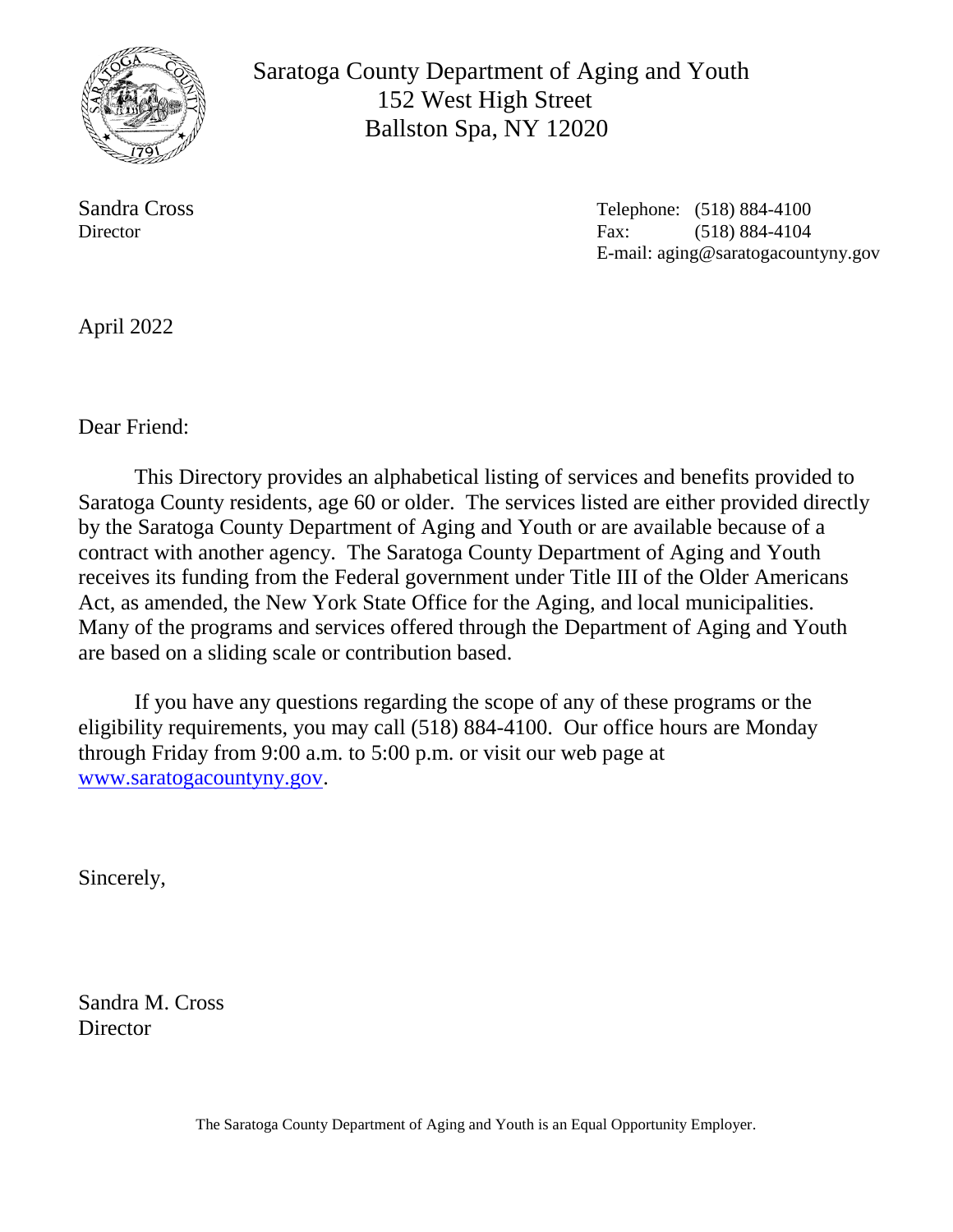

 Saratoga County Department of Aging and Youth 152 West High Street Ballston Spa, NY 12020

Sandra Cross Telephone: (518) 884-4100 Director **Fax:** (518) 884-4104 E-mail: aging@saratogacountyny.gov

April 2022

Dear Friend:

This Directory provides an alphabetical listing of services and benefits provided to Saratoga County residents, age 60 or older. The services listed are either provided directly by the Saratoga County Department of Aging and Youth or are available because of a contract with another agency. The Saratoga County Department of Aging and Youth receives its funding from the Federal government under Title III of the Older Americans Act, as amended, the New York State Office for the Aging, and local municipalities. Many of the programs and services offered through the Department of Aging and Youth are based on a sliding scale or contribution based.

If you have any questions regarding the scope of any of these programs or the eligibility requirements, you may call (518) 884-4100. Our office hours are Monday through Friday from 9:00 a.m. to 5:00 p.m. or visit our web page at [www.saratogacountyny.gov.](http://www.saratogacountyny.gov/)

Sincerely,

Sandra M. Cross **Director**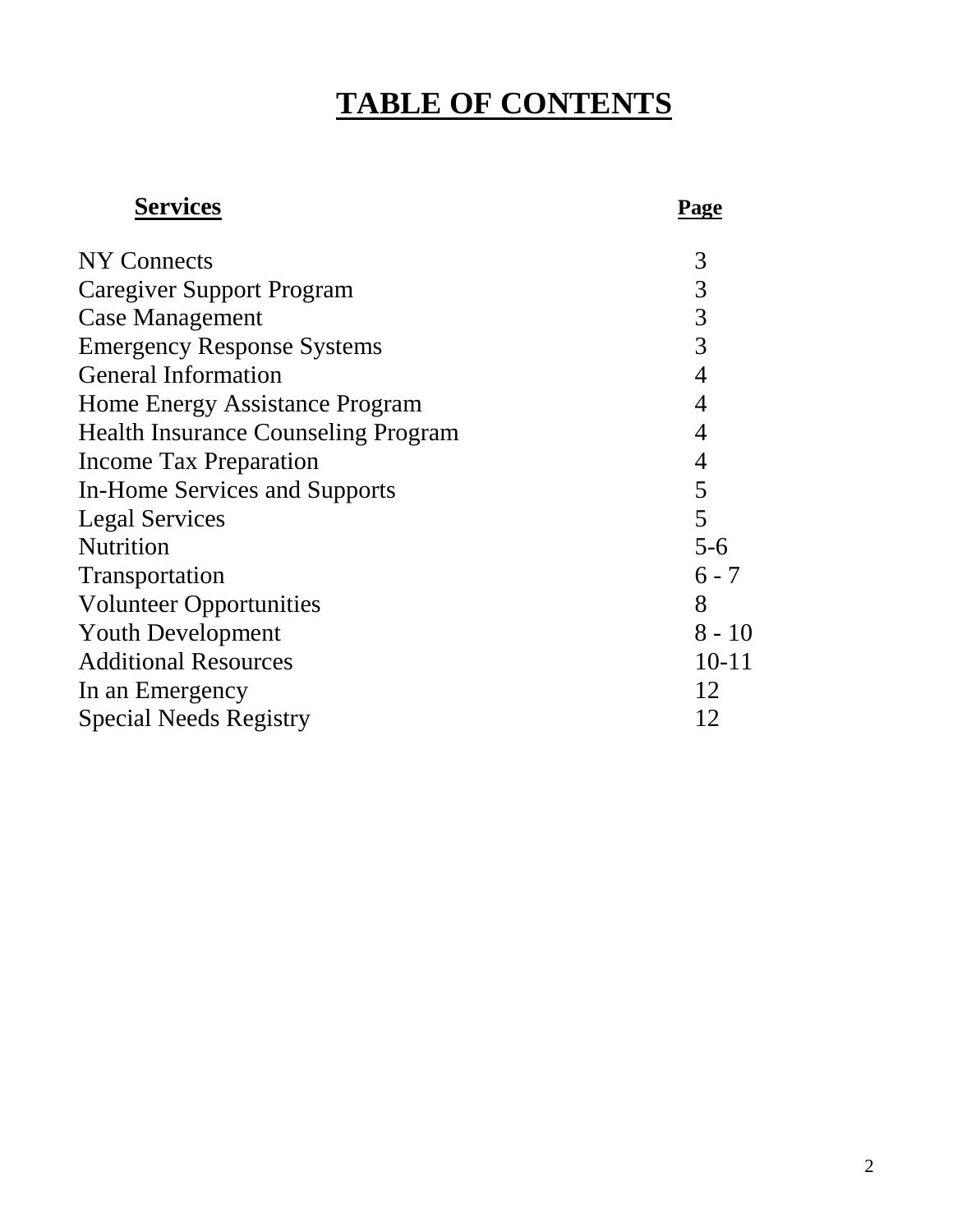# **TABLE OF CONTENTS**

# **Services Page**

| <b>NY Connects</b>                         | 3              |
|--------------------------------------------|----------------|
| <b>Caregiver Support Program</b>           | 3              |
| <b>Case Management</b>                     | 3              |
| <b>Emergency Response Systems</b>          | 3              |
| <b>General Information</b>                 | $\overline{4}$ |
| Home Energy Assistance Program             | $\overline{4}$ |
| <b>Health Insurance Counseling Program</b> | 4              |
| <b>Income Tax Preparation</b>              | $\overline{4}$ |
| <b>In-Home Services and Supports</b>       | 5              |
| <b>Legal Services</b>                      | 5              |
| <b>Nutrition</b>                           | $5 - 6$        |
| Transportation                             | $6 - 7$        |
| <b>Volunteer Opportunities</b>             | 8              |
| <b>Youth Development</b>                   | $8 - 10$       |
| <b>Additional Resources</b>                | $10 - 11$      |
| In an Emergency                            | 12             |
| <b>Special Needs Registry</b>              | 12             |
|                                            |                |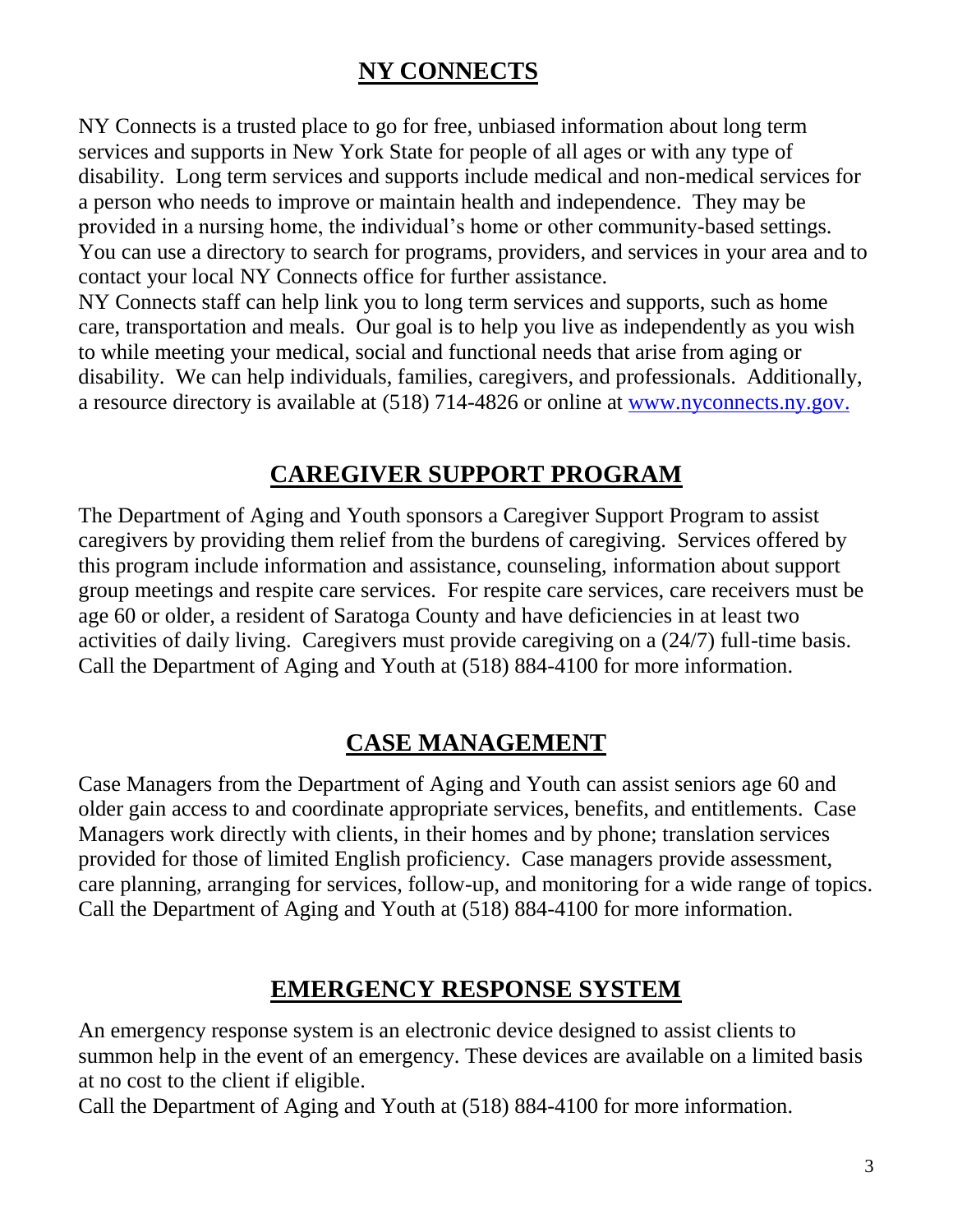### **NY CONNECTS**

NY Connects is a trusted place to go for free, unbiased information about long term services and supports in New York State for people of all ages or with any type of disability. Long term services and supports include medical and non-medical services for a person who needs to improve or maintain health and independence. They may be provided in a nursing home, the individual's home or other community-based settings. You can use a directory to search for programs, providers, and services in your area and to contact your local NY Connects office for further assistance.

NY Connects staff can help link you to long term services and supports, such as home care, transportation and meals. Our goal is to help you live as independently as you wish to while meeting your medical, social and functional needs that arise from aging or disability. We can help individuals, families, caregivers, and professionals. Additionally, a resource directory is available at (518) 714-4826 or online at [www.nyconnects.ny.gov.](https://www.nyconnects.ny.gov/)

### **CAREGIVER SUPPORT PROGRAM**

The Department of Aging and Youth sponsors a Caregiver Support Program to assist caregivers by providing them relief from the burdens of caregiving. Services offered by this program include information and assistance, counseling, information about support group meetings and respite care services. For respite care services, care receivers must be age 60 or older, a resident of Saratoga County and have deficiencies in at least two activities of daily living. Caregivers must provide caregiving on a (24/7) full-time basis. Call the Department of Aging and Youth at (518) 884-4100 for more information.

### **CASE MANAGEMENT**

Case Managers from the Department of Aging and Youth can assist seniors age 60 and older gain access to and coordinate appropriate services, benefits, and entitlements. Case Managers work directly with clients, in their homes and by phone; translation services provided for those of limited English proficiency. Case managers provide assessment, care planning, arranging for services, follow-up, and monitoring for a wide range of topics. Call the Department of Aging and Youth at (518) 884-4100 for more information.

### **EMERGENCY RESPONSE SYSTEM**

An emergency response system is an electronic device designed to assist clients to summon help in the event of an emergency. These devices are available on a limited basis at no cost to the client if eligible.

Call the Department of Aging and Youth at (518) 884-4100 for more information.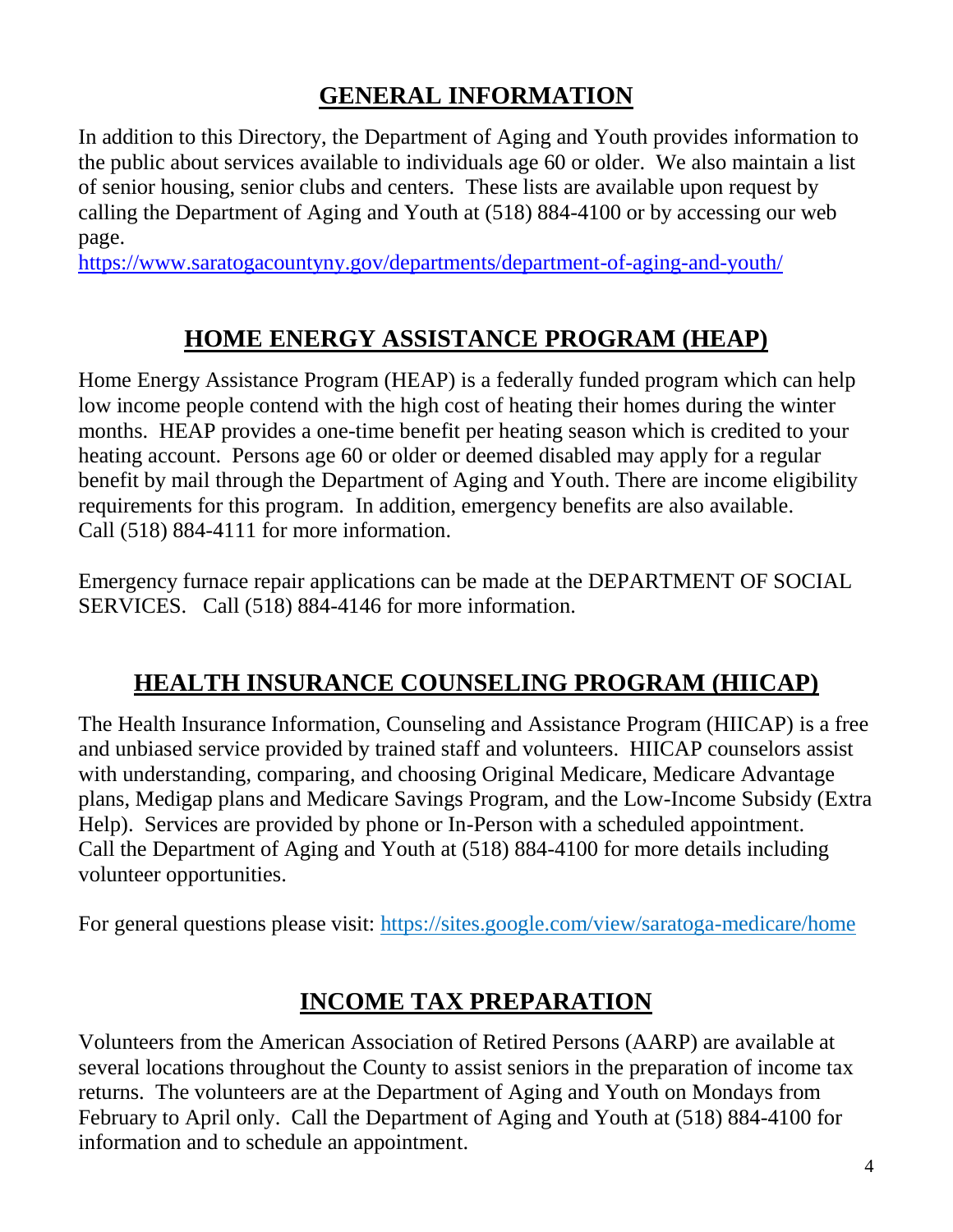### **GENERAL INFORMATION**

In addition to this Directory, the Department of Aging and Youth provides information to the public about services available to individuals age 60 or older. We also maintain a list of senior housing, senior clubs and centers. These lists are available upon request by calling the Department of Aging and Youth at (518) 884-4100 or by accessing our web page.

<https://www.saratogacountyny.gov/departments/department-of-aging-and-youth/>

### **HOME ENERGY ASSISTANCE PROGRAM (HEAP)**

Home Energy Assistance Program (HEAP) is a federally funded program which can help low income people contend with the high cost of heating their homes during the winter months. HEAP provides a one-time benefit per heating season which is credited to your heating account. Persons age 60 or older or deemed disabled may apply for a regular benefit by mail through the Department of Aging and Youth. There are income eligibility requirements for this program. In addition, emergency benefits are also available. Call (518) 884-4111 for more information.

Emergency furnace repair applications can be made at the DEPARTMENT OF SOCIAL SERVICES. Call (518) 884-4146 for more information.

### **HEALTH INSURANCE COUNSELING PROGRAM (HIICAP)**

The Health Insurance Information, Counseling and Assistance Program (HIICAP) is a free and unbiased service provided by trained staff and volunteers. HIICAP counselors assist with understanding, comparing, and choosing Original Medicare, Medicare Advantage plans, Medigap plans and Medicare Savings Program, and the Low-Income Subsidy (Extra Help). Services are provided by phone or In-Person with a scheduled appointment. Call the Department of Aging and Youth at (518) 884-4100 for more details including volunteer opportunities.

For general questions please visit: https://sites.google.com/view/saratoga-medicare/home

### **INCOME TAX PREPARATION**

Volunteers from the American Association of Retired Persons (AARP) are available at several locations throughout the County to assist seniors in the preparation of income tax returns. The volunteers are at the Department of Aging and Youth on Mondays from February to April only. Call the Department of Aging and Youth at (518) 884-4100 for information and to schedule an appointment.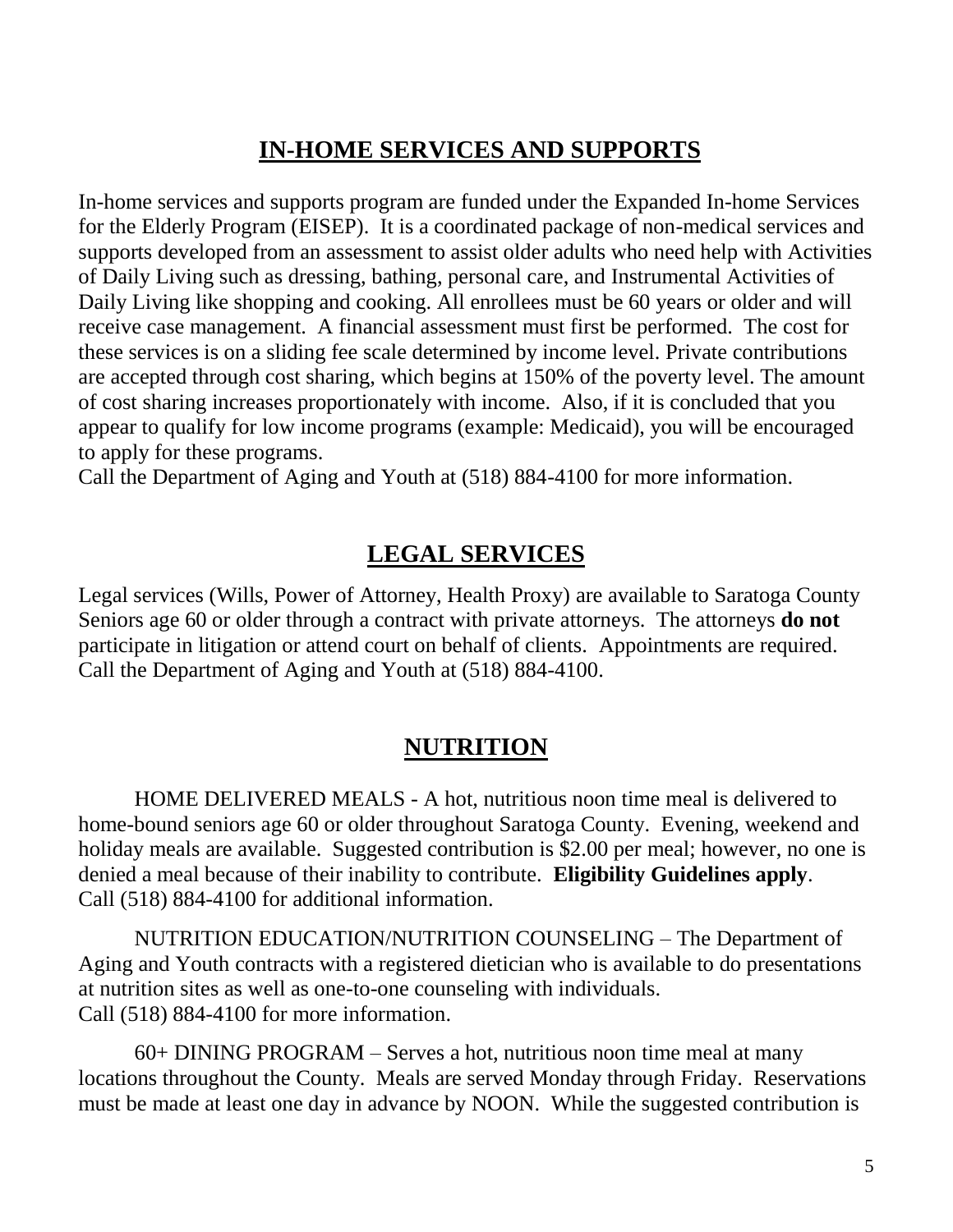### **IN-HOME SERVICES AND SUPPORTS**

In-home services and supports program are funded under the Expanded In-home Services for the Elderly Program (EISEP). It is a coordinated package of non-medical services and supports developed from an assessment to assist older adults who need help with Activities of Daily Living such as dressing, bathing, personal care, and Instrumental Activities of Daily Living like shopping and cooking. All enrollees must be 60 years or older and will receive case management. A financial assessment must first be performed. The cost for these services is on a sliding fee scale determined by income level. Private contributions are accepted through cost sharing, which begins at 150% of the poverty level. The amount of cost sharing increases proportionately with income. Also, if it is concluded that you appear to qualify for low income programs (example: Medicaid), you will be encouraged to apply for these programs.

Call the Department of Aging and Youth at (518) 884-4100 for more information.

#### **LEGAL SERVICES**

Legal services (Wills, Power of Attorney, Health Proxy) are available to Saratoga County Seniors age 60 or older through a contract with private attorneys. The attorneys **do not** participate in litigation or attend court on behalf of clients. Appointments are required. Call the Department of Aging and Youth at (518) 884-4100.

#### **NUTRITION**

HOME DELIVERED MEALS - A hot, nutritious noon time meal is delivered to home-bound seniors age 60 or older throughout Saratoga County. Evening, weekend and holiday meals are available. Suggested contribution is \$2.00 per meal; however, no one is denied a meal because of their inability to contribute. **Eligibility Guidelines apply**. Call (518) 884-4100 for additional information.

NUTRITION EDUCATION/NUTRITION COUNSELING – The Department of Aging and Youth contracts with a registered dietician who is available to do presentations at nutrition sites as well as one-to-one counseling with individuals. Call (518) 884-4100 for more information.

60+ DINING PROGRAM – Serves a hot, nutritious noon time meal at many locations throughout the County. Meals are served Monday through Friday. Reservations must be made at least one day in advance by NOON. While the suggested contribution is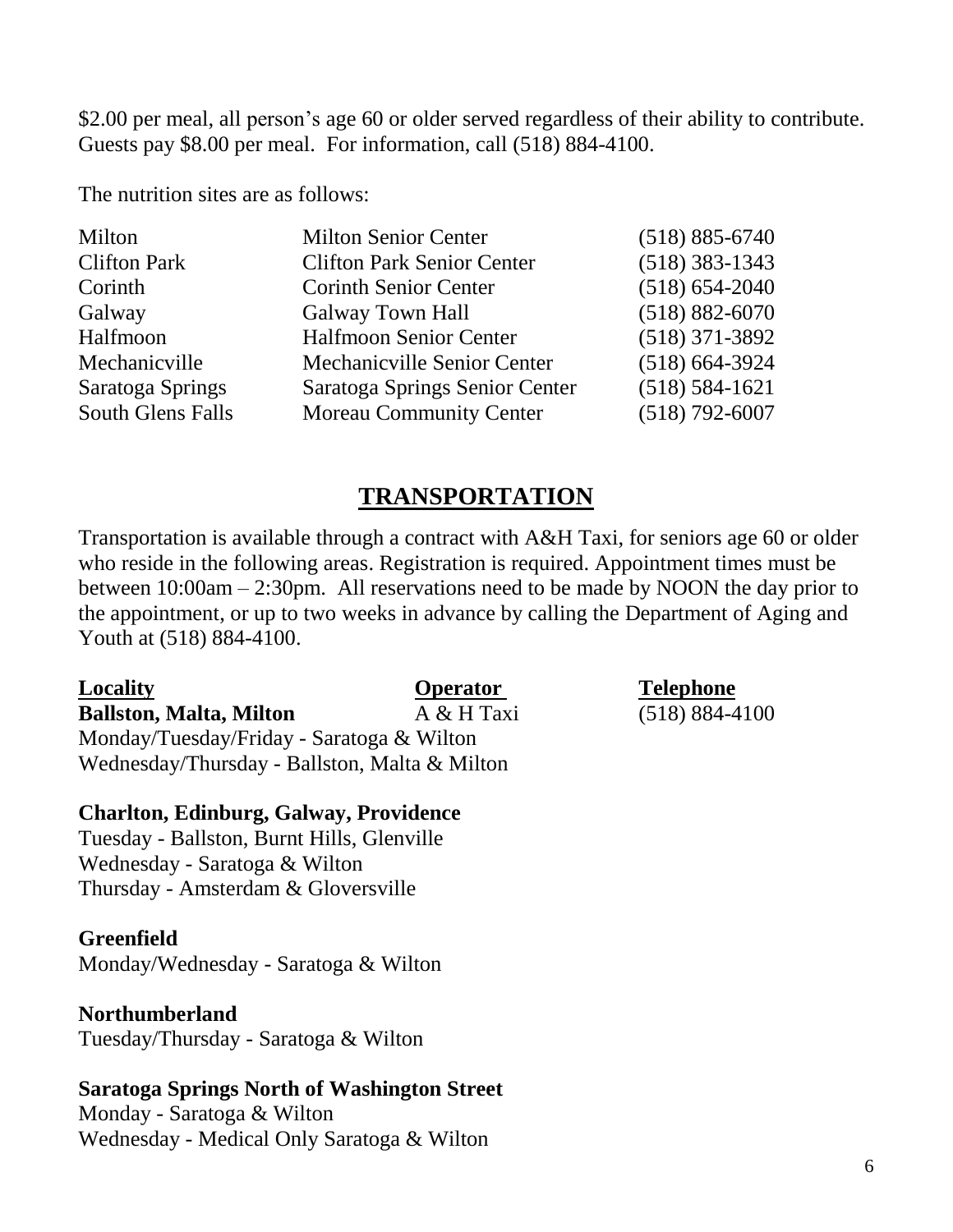\$2.00 per meal, all person's age 60 or older served regardless of their ability to contribute. Guests pay \$8.00 per meal. For information, call (518) 884-4100.

The nutrition sites are as follows:

| Milton              | <b>Milton Senior Center</b>        | $(518) 885 - 6740$ |
|---------------------|------------------------------------|--------------------|
| <b>Clifton Park</b> | <b>Clifton Park Senior Center</b>  | $(518)$ 383-1343   |
| Corinth             | <b>Corinth Senior Center</b>       | $(518) 654 - 2040$ |
| Galway              | <b>Galway Town Hall</b>            | $(518) 882 - 6070$ |
| Halfmoon            | <b>Halfmoon Senior Center</b>      | $(518)$ 371-3892   |
| Mechanicville       | <b>Mechanicyille Senior Center</b> | $(518) 664 - 3924$ |
| Saratoga Springs    | Saratoga Springs Senior Center     | $(518) 584 - 1621$ |
| South Glens Falls   | <b>Moreau Community Center</b>     | $(518) 792 - 6007$ |
|                     |                                    |                    |

#### **TRANSPORTATION**

Transportation is available through a contract with A&H Taxi, for seniors age 60 or older who reside in the following areas. Registration is required. Appointment times must be between 10:00am – 2:30pm. All reservations need to be made by NOON the day prior to the appointment, or up to two weeks in advance by calling the Department of Aging and Youth at (518) 884-4100.

| Locality                                      | <b>Operator</b> |
|-----------------------------------------------|-----------------|
| <b>Ballston, Malta, Milton</b>                | A & H Taxi      |
| Monday/Tuesday/Friday - Saratoga & Wilton     |                 |
| Wednesday/Thursday - Ballston, Malta & Milton |                 |

#### **Charlton, Edinburg, Galway, Providence**

Tuesday - Ballston, Burnt Hills, Glenville Wednesday - Saratoga & Wilton Thursday - Amsterdam & Gloversville

#### **Greenfield**

Monday/Wednesday - Saratoga & Wilton

#### **Northumberland**

Tuesday/Thursday - Saratoga & Wilton

#### **Saratoga Springs North of Washington Street**

Monday - Saratoga & Wilton Wednesday - Medical Only Saratoga & Wilton

#### **Telephone (518)** 884-4100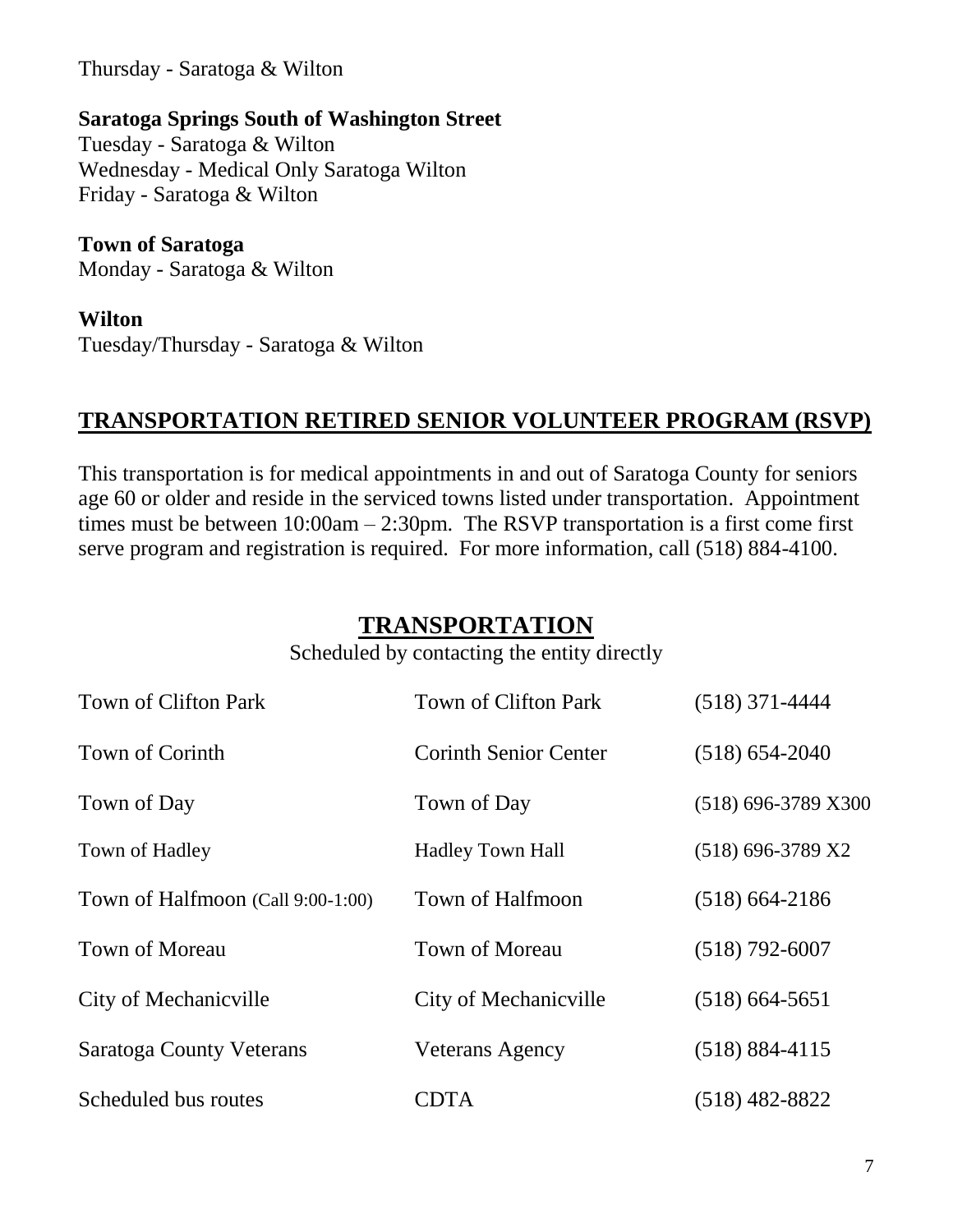Thursday - Saratoga & Wilton

#### **Saratoga Springs South of Washington Street**

Tuesday - Saratoga & Wilton Wednesday - Medical Only Saratoga Wilton Friday - Saratoga & Wilton

#### **Town of Saratoga**

Monday - Saratoga & Wilton

#### **Wilton**

Tuesday/Thursday - Saratoga & Wilton

#### **TRANSPORTATION RETIRED SENIOR VOLUNTEER PROGRAM (RSVP)**

This transportation is for medical appointments in and out of Saratoga County for seniors age 60 or older and reside in the serviced towns listed under transportation. Appointment times must be between 10:00am – 2:30pm. The RSVP transportation is a first come first serve program and registration is required. For more information, call (518) 884-4100.

#### **TRANSPORTATION**

Scheduled by contacting the entity directly

| Town of Clifton Park              | Town of Clifton Park         | $(518)$ 371-4444      |
|-----------------------------------|------------------------------|-----------------------|
| Town of Corinth                   | <b>Corinth Senior Center</b> | $(518) 654 - 2040$    |
| Town of Day                       | Town of Day                  | $(518)$ 696-3789 X300 |
| Town of Hadley                    | <b>Hadley Town Hall</b>      | $(518)$ 696-3789 X2   |
| Town of Halfmoon (Call 9:00-1:00) | Town of Halfmoon             | $(518)$ 664-2186      |
| Town of Moreau                    | <b>Town of Moreau</b>        | $(518)$ 792-6007      |
| City of Mechanic ville            | City of Mechanic ville       | $(518)$ 664-5651      |
| Saratoga County Veterans          | <b>Veterans Agency</b>       | $(518) 884 - 4115$    |
| Scheduled bus routes              | CDTA                         | $(518)$ 482-8822      |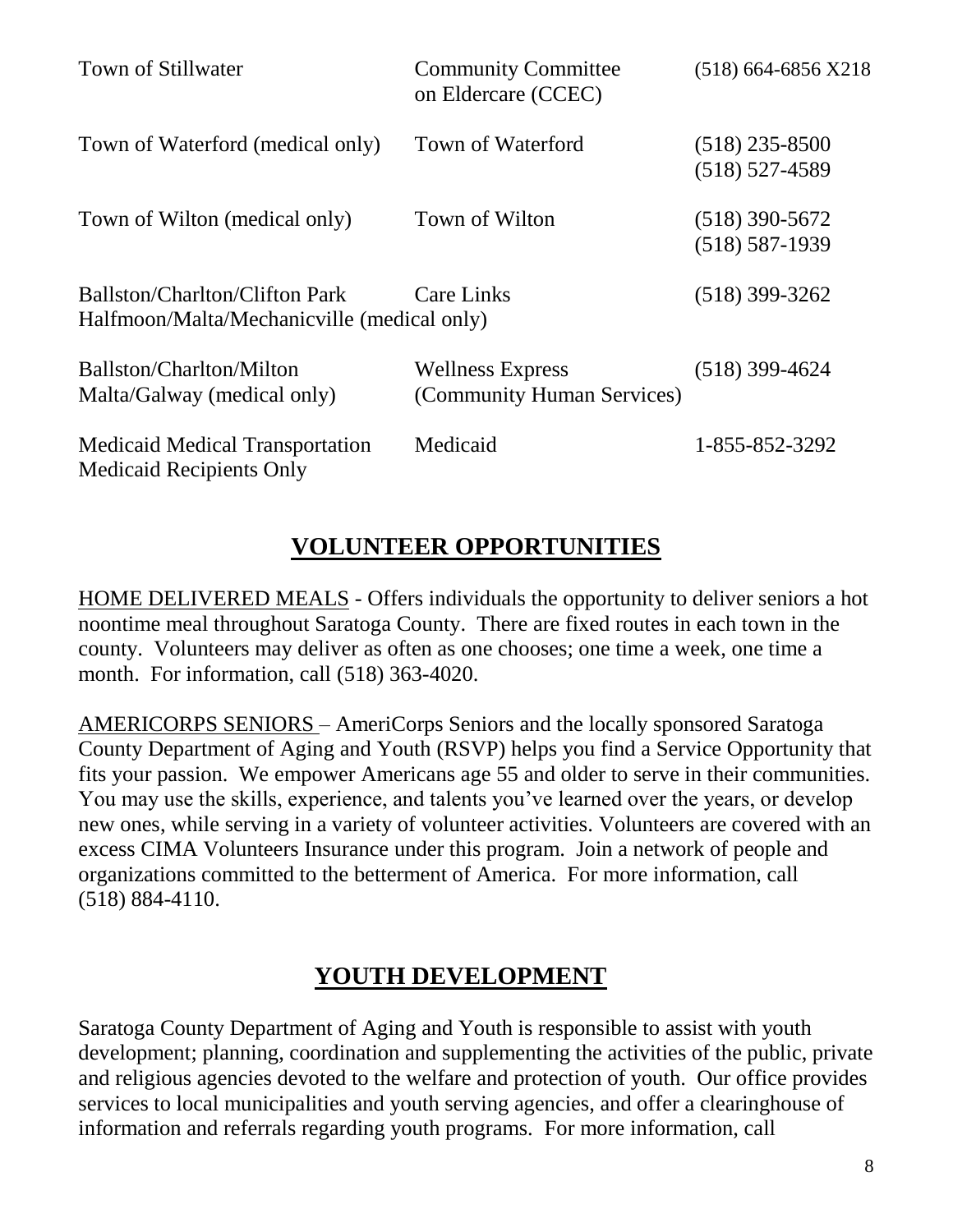| Town of Stillwater                                                                   | <b>Community Committee</b><br>on Eldercare (CCEC)     | $(518)$ 664-6856 X218                  |
|--------------------------------------------------------------------------------------|-------------------------------------------------------|----------------------------------------|
| Town of Waterford (medical only)                                                     | Town of Waterford                                     | $(518)$ 235-8500<br>$(518) 527 - 4589$ |
| Town of Wilton (medical only)                                                        | Town of Wilton                                        | $(518)$ 390-5672<br>$(518) 587 - 1939$ |
| <b>Ballston/Charlton/Clifton Park</b><br>Halfmoon/Malta/Mechanicville (medical only) | <b>Care Links</b>                                     | $(518)$ 399-3262                       |
| Ballston/Charlton/Milton<br>Malta/Galway (medical only)                              | <b>Wellness Express</b><br>(Community Human Services) | $(518)$ 399-4624                       |
| <b>Medicaid Medical Transportation</b><br><b>Medicaid Recipients Only</b>            | Medicaid                                              | 1-855-852-3292                         |

### **VOLUNTEER OPPORTUNITIES**

HOME DELIVERED MEALS - Offers individuals the opportunity to deliver seniors a hot noontime meal throughout Saratoga County. There are fixed routes in each town in the county. Volunteers may deliver as often as one chooses; one time a week, one time a month. For information, call (518) 363-4020.

AMERICORPS SENIORS – AmeriCorps Seniors and the locally sponsored Saratoga County Department of Aging and Youth (RSVP) helps you find a Service Opportunity that fits your passion. We empower Americans age 55 and older to serve in their communities. You may use the skills, experience, and talents you've learned over the years, or develop new ones, while serving in a variety of volunteer activities. Volunteers are covered with an excess CIMA Volunteers Insurance under this program. Join a network of people and organizations committed to the betterment of America. For more information, call (518) 884-4110.

### **YOUTH DEVELOPMENT**

Saratoga County Department of Aging and Youth is responsible to assist with youth development; planning, coordination and supplementing the activities of the public, private and religious agencies devoted to the welfare and protection of youth. Our office provides services to local municipalities and youth serving agencies, and offer a clearinghouse of information and referrals regarding youth programs. For more information, call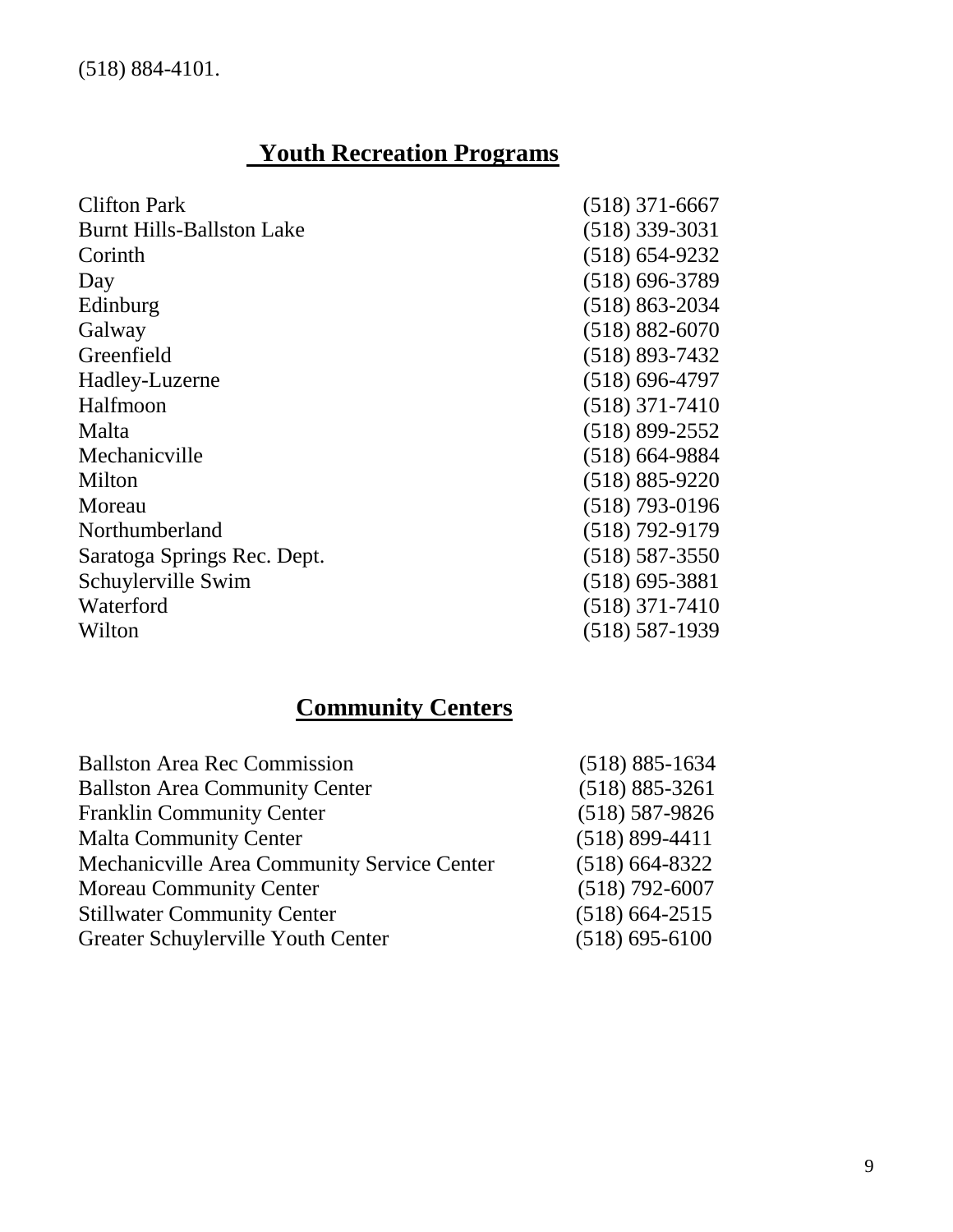## **Youth Recreation Programs**

| <b>Clifton Park</b>              | $(518)$ 371-6667   |
|----------------------------------|--------------------|
| <b>Burnt Hills-Ballston Lake</b> | $(518)$ 339-3031   |
| Corinth                          | $(518) 654 - 9232$ |
| Day                              | $(518) 696 - 3789$ |
| Edinburg                         | $(518) 863 - 2034$ |
| Galway                           | $(518) 882 - 6070$ |
| Greenfield                       | $(518) 893 - 7432$ |
| Hadley-Luzerne                   | $(518) 696 - 4797$ |
| Halfmoon                         | $(518)$ 371-7410   |
| Malta                            | $(518) 899 - 2552$ |
| Mechanicville                    | $(518)$ 664-9884   |
| Milton                           | $(518) 885 - 9220$ |
| Moreau                           | $(518)$ 793-0196   |
| Northumberland                   | $(518) 792 - 9179$ |
| Saratoga Springs Rec. Dept.      | $(518) 587 - 3550$ |
| Schuylerville Swim               | $(518)$ 695-3881   |
| Waterford                        | $(518)$ 371-7410   |
| Wilton                           | $(518) 587 - 1939$ |

# **Community Centers**

| <b>Ballston Area Rec Commission</b>         | $(518) 885 - 1634$ |
|---------------------------------------------|--------------------|
| <b>Ballston Area Community Center</b>       | $(518) 885 - 3261$ |
| <b>Franklin Community Center</b>            | $(518) 587 - 9826$ |
| <b>Malta Community Center</b>               | $(518) 899 - 4411$ |
| Mechanicville Area Community Service Center | $(518) 664 - 8322$ |
| <b>Moreau Community Center</b>              | $(518) 792 - 6007$ |
| <b>Stillwater Community Center</b>          | $(518)$ 664-2515   |
| Greater Schuylerville Youth Center          | $(518) 695 - 6100$ |
|                                             |                    |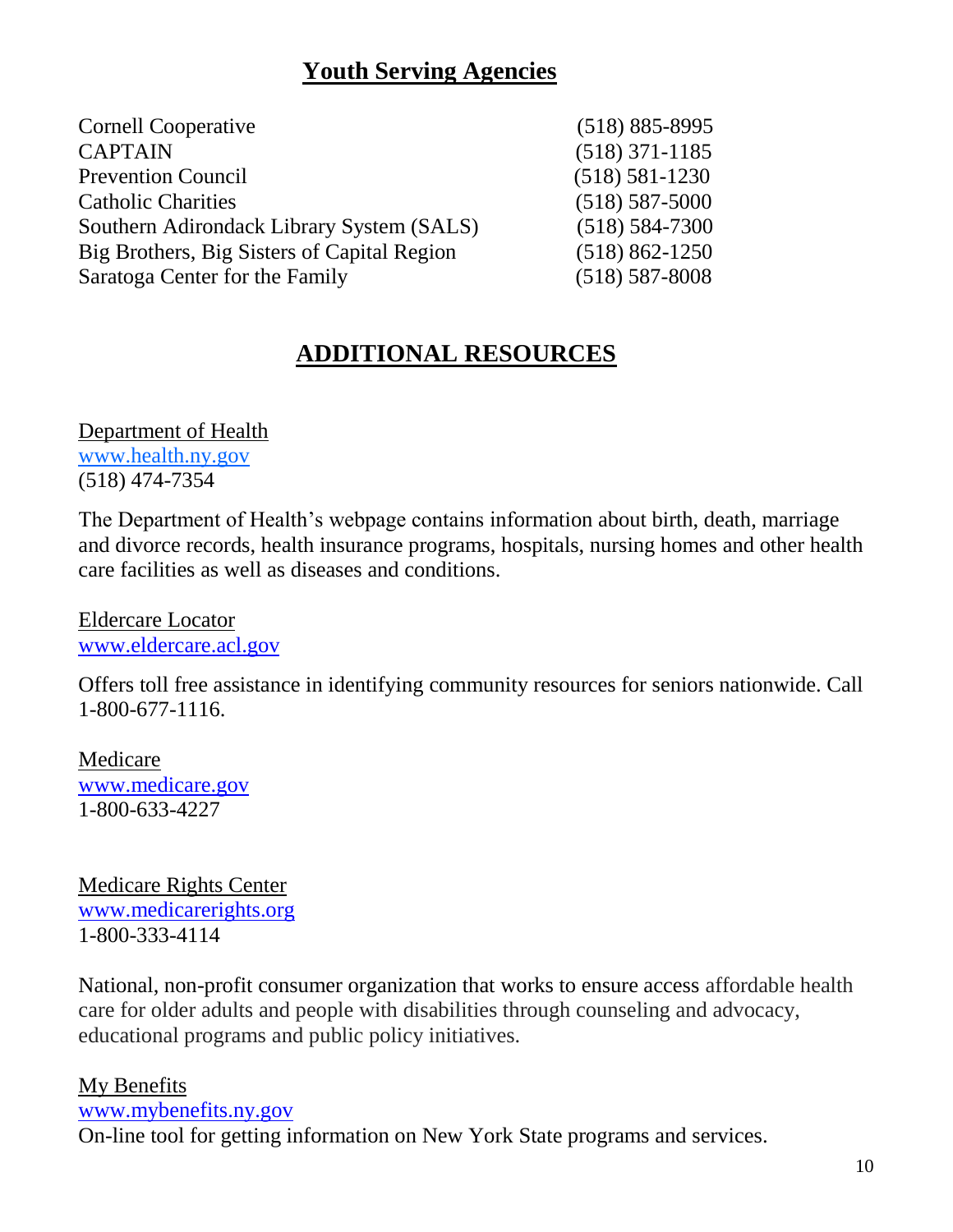### **Youth Serving Agencies**

| <b>Cornell Cooperative</b>                  | $(518) 885 - 8995$ |
|---------------------------------------------|--------------------|
| <b>CAPTAIN</b>                              | $(518)$ 371-1185   |
| <b>Prevention Council</b>                   | $(518) 581 - 1230$ |
| <b>Catholic Charities</b>                   | $(518) 587 - 5000$ |
| Southern Adirondack Library System (SALS)   | $(518) 584 - 7300$ |
| Big Brothers, Big Sisters of Capital Region | $(518) 862 - 1250$ |
| Saratoga Center for the Family              | $(518) 587 - 8008$ |

### **ADDITIONAL RESOURCES**

Department of Health www.health.ny.gov (518) 474-7354

The Department of Health's webpage contains information about birth, death, marriage and divorce records, health insurance programs, hospitals, nursing homes and other health care facilities as well as diseases and conditions.

Eldercare Locator [www.eldercare.acl.gov](http://www.eldercare.acl.gov/)

Offers toll free assistance in identifying community resources for seniors nationwide. Call 1-800-677-1116.

Medicare [www.medicare.gov](http://www.medicare.gov/) 1-800-633-4227

Medicare Rights Center [www.medicarerights.org](http://www.medicarerights.org/) 1-800-333-4114

National, non-profit consumer organization that works to ensure access affordable health care for older adults and people with disabilities through counseling and advocacy, educational programs and public policy initiatives.

### My Benefits

[www.mybenefits.ny.gov](http://www.mybenefits.ny.gov/)

On-line tool for getting information on New York State programs and services.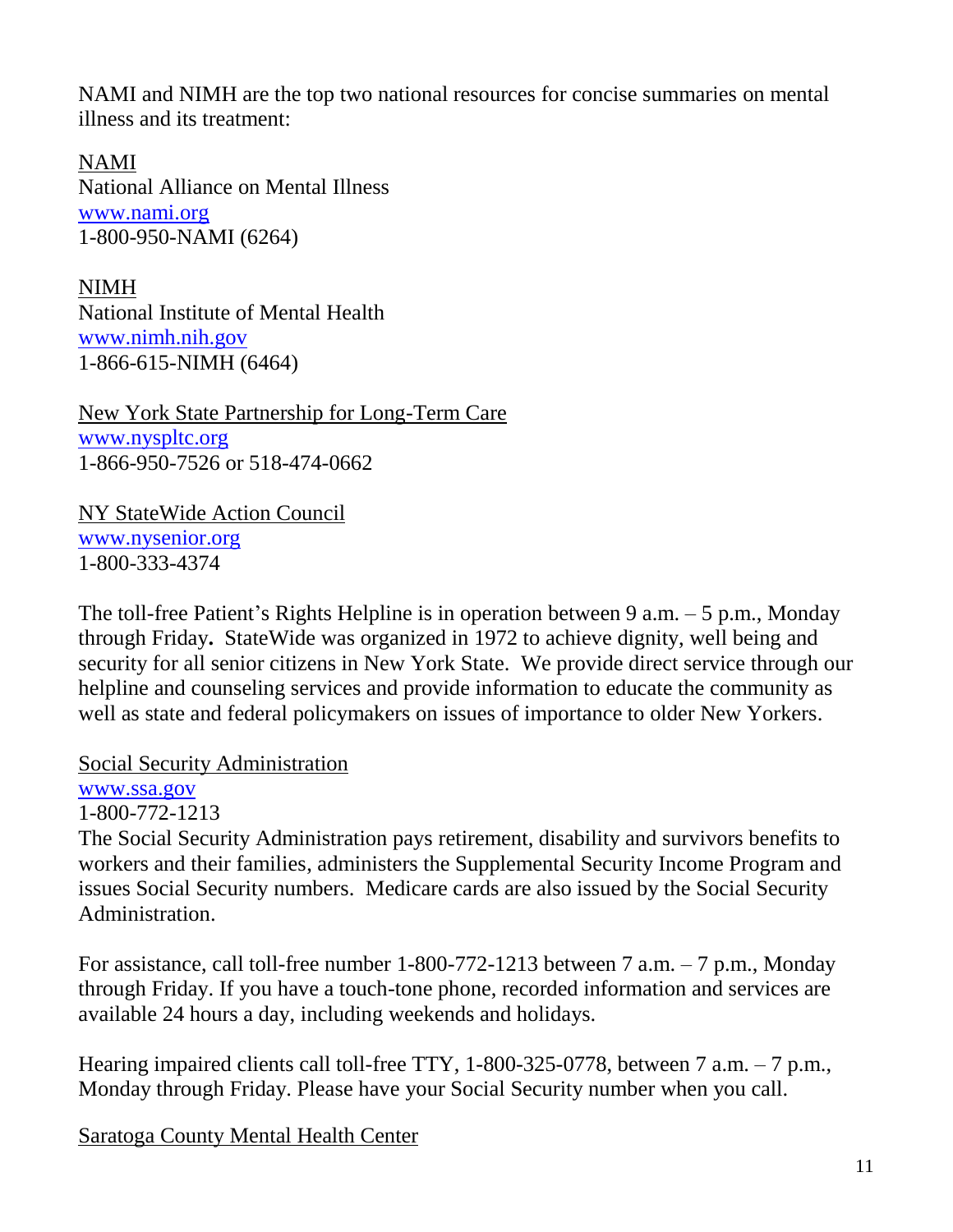NAMI and NIMH are the top two national resources for concise summaries on mental illness and its treatment:

NAMI National Alliance on Mental Illness [www.nami.org](http://www.nami.org/) 1-800-950-NAMI (6264)

NIMH National Institute of Mental Health [www.nimh.nih.gov](http://www.nimh.nih.gov/) 1-866-615-NIMH (6464)

New York State Partnership for Long-Term Care [www.nyspltc.org](http://www.nyspltc.org/) 1-866-950-7526 or 518-474-0662

NY StateWide Action Council [www.nysenior.org](http://www.nysenior.org/) 1-800-333-4374

The toll-free Patient's Rights Helpline is in operation between 9 a.m.  $-5$  p.m., Monday through Friday**.** StateWide was organized in 1972 to achieve dignity, well being and security for all senior citizens in New York State. We provide direct service through our [helpline](http://www.nysenior.org/wordpress/?page_id=5) and counseling [services](http://www.nysenior.org/wordpress/?page_id=108) and provide information to educate the community as well as state and federal policymakers on issues of importance to older New Yorkers.

Social Security Administration

[www.ssa.gov](http://www.ssa.gov/)

1-800-772-1213

The Social Security Administration pays retirement, disability and survivors benefits to workers and their families, administers the Supplemental Security Income Program and issues Social Security numbers. Medicare cards are also issued by the Social Security Administration.

For assistance, call toll-free number 1-800-772-1213 between 7 a.m. – 7 p.m., Monday through Friday. If you have a touch-tone phone, recorded information and services are available 24 hours a day, including weekends and holidays.

Hearing impaired clients call toll-free TTY, 1-800-325-0778, between 7 a.m. – 7 p.m., Monday through Friday. Please have your Social Security number when you call.

Saratoga County Mental Health Center